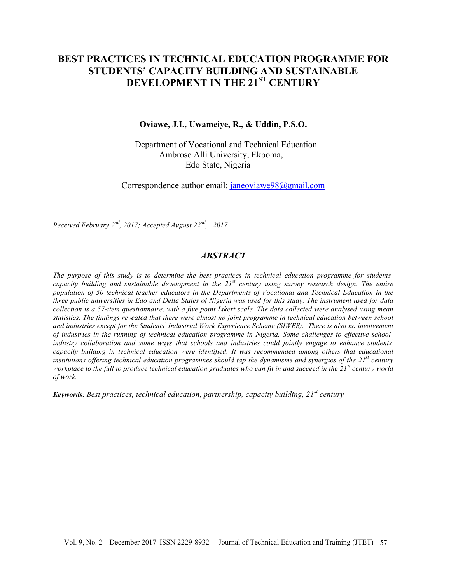# **BEST PRACTICES IN TECHNICAL EDUCATION PROGRAMME FOR STUDENTS' CAPACITY BUILDING AND SUSTAINABLE DEVELOPMENT IN THE 21ST CENTURY**

#### **Oviawe, J.I., Uwameiye, R., & Uddin, P.S.O.**

Department of Vocational and Technical Education Ambrose Alli University, Ekpoma, Edo State, Nigeria

Correspondence author email: janeoviawe98@gmail.com

*Received February 2nd, 2017; Accepted August 22nd, 2017*

### *ABSTRACT*

*The purpose of this study is to determine the best practices in technical education programme for students' capacity building and sustainable development in the 21st century using survey research design. The entire population of 50 technical teacher educators in the Departments of Vocational and Technical Education in the three public universities in Edo and Delta States of Nigeria was used for this study. The instrument used for data collection is a 57-item questionnaire, with a five point Likert scale. The data collected were analysed using mean statistics. The findings revealed that there were almost no joint programme in technical education between school and industries except for the Students' Industrial Work Experience Scheme (SIWES). There is also no involvement of industries in the running of technical education programme in Nigeria. Some challenges to effective schoolindustry collaboration and some ways that schools and industries could jointly engage to enhance students' capacity building in technical education were identified. It was recommended among others that educational institutions offering technical education programmes should tap the dynamisms and synergies of the 21st century workplace to the full to produce technical education graduates who can fit in and succeed in the 21st century world of work.* 

*Keywords: Best practices, technical education, partnership, capacity building, 21st century*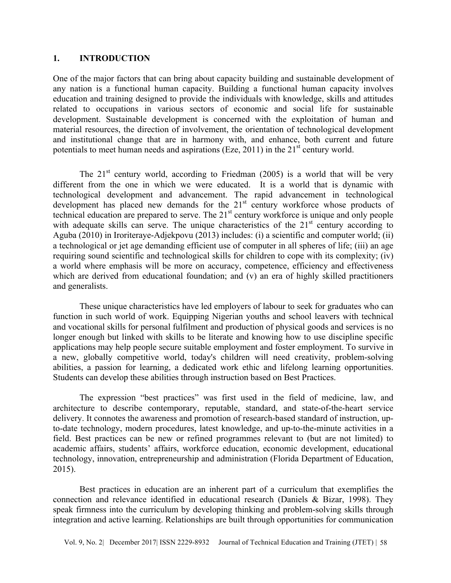### **1. INTRODUCTION**

One of the major factors that can bring about capacity building and sustainable development of any nation is a functional human capacity. Building a functional human capacity involves education and training designed to provide the individuals with knowledge, skills and attitudes related to occupations in various sectors of economic and social life for sustainable development. Sustainable development is concerned with the exploitation of human and material resources, the direction of involvement, the orientation of technological development and institutional change that are in harmony with, and enhance, both current and future potentials to meet human needs and aspirations (Eze, 2011) in the  $21<sup>st</sup>$  century world.

The  $21<sup>st</sup>$  century world, according to Friedman (2005) is a world that will be very different from the one in which we were educated. It is a world that is dynamic with technological development and advancement. The rapid advancement in technological development has placed new demands for the  $21<sup>st</sup>$  century workforce whose products of technical education are prepared to serve. The  $21<sup>st</sup>$  century workforce is unique and only people with adequate skills can serve. The unique characteristics of the 21<sup>st</sup> century according to Aguba (2010) in Iroriteraye-Adjekpovu (2013) includes: (i) a scientific and computer world; (ii) a technological or jet age demanding efficient use of computer in all spheres of life; (iii) an age requiring sound scientific and technological skills for children to cope with its complexity; (iv) a world where emphasis will be more on accuracy, competence, efficiency and effectiveness which are derived from educational foundation; and (v) an era of highly skilled practitioners and generalists.

These unique characteristics have led employers of labour to seek for graduates who can function in such world of work. Equipping Nigerian youths and school leavers with technical and vocational skills for personal fulfilment and production of physical goods and services is no longer enough but linked with skills to be literate and knowing how to use discipline specific applications may help people secure suitable employment and foster employment. To survive in a new, globally competitive world, today's children will need creativity, problem-solving abilities, a passion for learning, a dedicated work ethic and lifelong learning opportunities. Students can develop these abilities through instruction based on Best Practices.

The expression "best practices" was first used in the field of medicine, law, and architecture to describe contemporary, reputable, standard, and state-of-the-heart service delivery. It connotes the awareness and promotion of research-based standard of instruction, upto-date technology, modern procedures, latest knowledge, and up-to-the-minute activities in a field. Best practices can be new or refined programmes relevant to (but are not limited) to academic affairs, students' affairs, workforce education, economic development, educational technology, innovation, entrepreneurship and administration (Florida Department of Education, 2015).

Best practices in education are an inherent part of a curriculum that exemplifies the connection and relevance identified in educational research (Daniels & Bizar, 1998). They speak firmness into the curriculum by developing thinking and problem-solving skills through integration and active learning. Relationships are built through opportunities for communication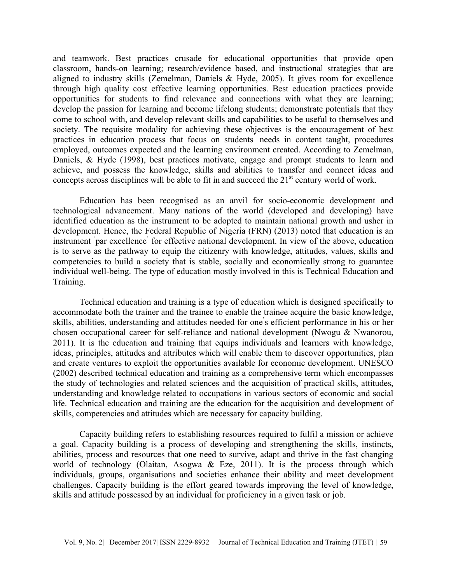and teamwork. Best practices crusade for educational opportunities that provide open classroom, hands-on learning; research/evidence based, and instructional strategies that are aligned to industry skills (Zemelman, Daniels & Hyde, 2005). It gives room for excellence through high quality cost effective learning opportunities. Best education practices provide opportunities for students to find relevance and connections with what they are learning; develop the passion for learning and become lifelong students; demonstrate potentials that they come to school with, and develop relevant skills and capabilities to be useful to themselves and society. The requisite modality for achieving these objectives is the encouragement of best practices in education process that focus on students' needs in content taught, procedures employed, outcomes expected and the learning environment created. According to Zemelman, Daniels, & Hyde (1998), best practices motivate, engage and prompt students to learn and achieve, and possess the knowledge, skills and abilities to transfer and connect ideas and concepts across disciplines will be able to fit in and succeed the 21<sup>st</sup> century world of work.

Education has been recognised as an anvil for socio-economic development and technological advancement. Many nations of the world (developed and developing) have identified education as the instrument to be adopted to maintain national growth and usher in development. Hence, the Federal Republic of Nigeria (FRN) (2013) noted that education is an instrument ' par excellence' for effective national development. In view of the above, education is to serve as the pathway to equip the citizenry with knowledge, attitudes, values, skills and competencies to build a society that is stable, socially and economically strong to guarantee individual well-being. The type of education mostly involved in this is Technical Education and Training.

Technical education and training is a type of education which is designed specifically to accommodate both the trainer and the trainee to enable the trainee acquire the basic knowledge, skills, abilities, understanding and attitudes needed for one' s efficient performance in his or her chosen occupational career for self-reliance and national development (Nwogu & Nwanorou, 2011). It is the education and training that equips individuals and learners with knowledge, ideas, principles, attitudes and attributes which will enable them to discover opportunities, plan and create ventures to exploit the opportunities available for economic development. UNESCO (2002) described technical education and training as a comprehensive term which encompasses the study of technologies and related sciences and the acquisition of practical skills, attitudes, understanding and knowledge related to occupations in various sectors of economic and social life. Technical education and training are the education for the acquisition and development of skills, competencies and attitudes which are necessary for capacity building.

Capacity building refers to establishing resources required to fulfil a mission or achieve a goal. Capacity building is a process of developing and strengthening the skills, instincts, abilities, process and resources that one need to survive, adapt and thrive in the fast changing world of technology (Olaitan, Asogwa & Eze, 2011). It is the process through which individuals, groups, organisations and societies enhance their ability and meet development challenges. Capacity building is the effort geared towards improving the level of knowledge, skills and attitude possessed by an individual for proficiency in a given task or job.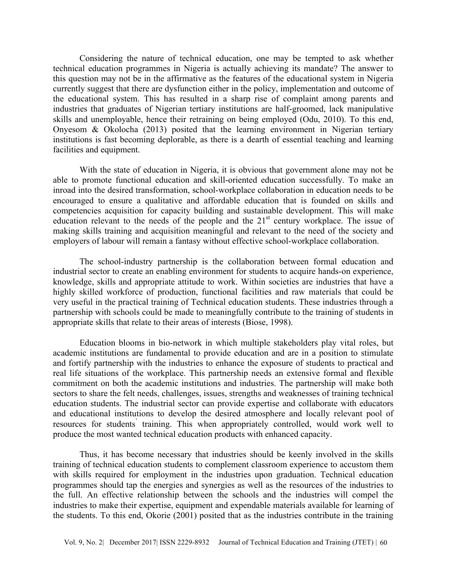Considering the nature of technical education, one may be tempted to ask whether technical education programmes in Nigeria is actually achieving its mandate? The answer to this question may not be in the affirmative as the features of the educational system in Nigeria currently suggest that there are dysfunction either in the policy, implementation and outcome of the educational system. This has resulted in a sharp rise of complaint among parents and industries that graduates of Nigerian tertiary institutions are half-groomed, lack manipulative skills and unemployable, hence their retraining on being employed (Odu, 2010). To this end, Onyesom & Okolocha (2013) posited that the learning environment in Nigerian tertiary institutions is fast becoming deplorable, as there is a dearth of essential teaching and learning facilities and equipment.

With the state of education in Nigeria, it is obvious that government alone may not be able to promote functional education and skill-oriented education successfully. To make an inroad into the desired transformation, school-workplace collaboration in education needs to be encouraged to ensure a qualitative and affordable education that is founded on skills and competencies acquisition for capacity building and sustainable development. This will make education relevant to the needs of the people and the  $21<sup>st</sup>$  century workplace. The issue of making skills training and acquisition meaningful and relevant to the need of the society and employers of labour will remain a fantasy without effective school-workplace collaboration.

The school-industry partnership is the collaboration between formal education and industrial sector to create an enabling environment for students to acquire hands-on experience, knowledge, skills and appropriate attitude to work. Within societies are industries that have a highly skilled workforce of production, functional facilities and raw materials that could be very useful in the practical training of Technical education students. These industries through a partnership with schools could be made to meaningfully contribute to the training of students in appropriate skills that relate to their areas of interests (Biose, 1998).

Education blooms in bio-network in which multiple stakeholders play vital roles, but academic institutions are fundamental to provide education and are in a position to stimulate and fortify partnership with the industries to enhance the exposure of students to practical and real life situations of the workplace. This partnership needs an extensive formal and flexible commitment on both the academic institutions and industries. The partnership will make both sectors to share the felt needs, challenges, issues, strengths and weaknesses of training technical education students. The industrial sector can provide expertise and collaborate with educators and educational institutions to develop the desired atmosphere and locally relevant pool of resources for students' training. This when appropriately controlled, would work well to produce the most wanted technical education products with enhanced capacity.

Thus, it has become necessary that industries should be keenly involved in the skills training of technical education students to complement classroom experience to accustom them with skills required for employment in the industries upon graduation. Technical education programmes should tap the energies and synergies as well as the resources of the industries to the full. An effective relationship between the schools and the industries will compel the industries to make their expertise, equipment and expendable materials available for learning of the students. To this end, Okorie (2001) posited that as the industries contribute in the training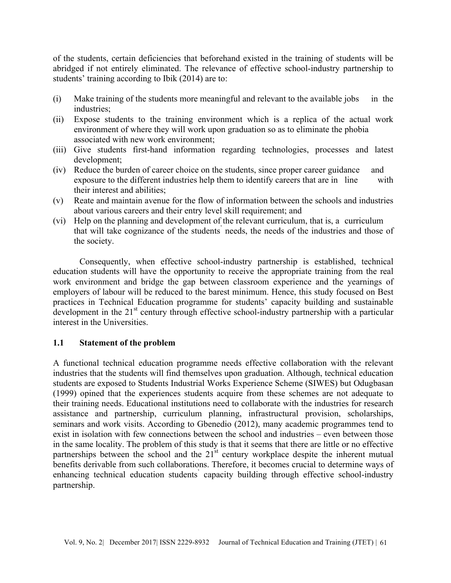of the students, certain deficiencies that beforehand existed in the training of students will be abridged if not entirely eliminated. The relevance of effective school-industry partnership to students' training according to Ibik (2014) are to:

- (i) Make training of the students more meaningful and relevant to the available jobs in the industries;
- (ii) Expose students to the training environment which is a replica of the actual work environment of where they will work upon graduation so as to eliminate the phobia associated with new work environment;
- (iii) Give students first-hand information regarding technologies, processes and latest development;
- (iv) Reduce the burden of career choice on the students, since proper career guidance and exposure to the different industries help them to identify careers that are in line with their interest and abilities;
- (v) Reate and maintain avenue for the flow of information between the schools and industries about various careers and their entry level skill requirement; and
- (vi) Help on the planning and development of the relevant curriculum, that is, a curriculum that will take cognizance of the students' needs, the needs of the industries and those of the society.

Consequently, when effective school-industry partnership is established, technical education students will have the opportunity to receive the appropriate training from the real work environment and bridge the gap between classroom experience and the yearnings of employers of labour will be reduced to the barest minimum. Hence, this study focused on Best practices in Technical Education programme for students' capacity building and sustainable development in the  $21<sup>st</sup>$  century through effective school-industry partnership with a particular interest in the Universities.

# **1.1 Statement of the problem**

A functional technical education programme needs effective collaboration with the relevant industries that the students will find themselves upon graduation. Although, technical education students are exposed to Students Industrial Works Experience Scheme (SIWES) but Odugbasan (1999) opined that the experiences students acquire from these schemes are not adequate to their training needs. Educational institutions need to collaborate with the industries for research assistance and partnership, curriculum planning, infrastructural provision, scholarships, seminars and work visits. According to Gbenedio (2012), many academic programmes tend to exist in isolation with few connections between the school and industries – even between those in the same locality. The problem of this study is that it seems that there are little or no effective partnerships between the school and the  $21<sup>st</sup>$  century workplace despite the inherent mutual benefits derivable from such collaborations. Therefore, it becomes crucial to determine ways of enhancing technical education students' capacity building through effective school-industry partnership.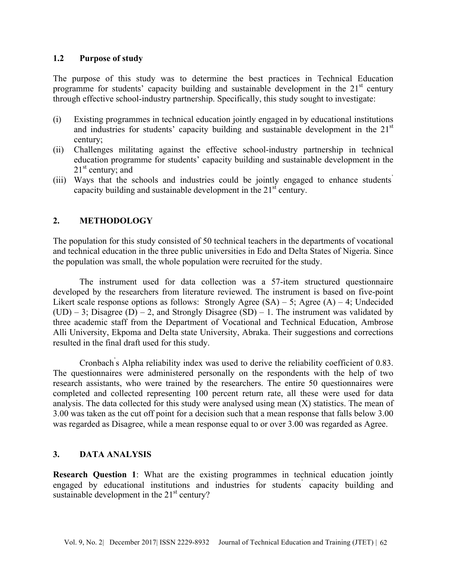### **1.2 Purpose of study**

The purpose of this study was to determine the best practices in Technical Education programme for students' capacity building and sustainable development in the  $21<sup>st</sup>$  century through effective school-industry partnership. Specifically, this study sought to investigate:

- (i) Existing programmes in technical education jointly engaged in by educational institutions and industries for students' capacity building and sustainable development in the  $21<sup>st</sup>$ century;
- (ii) Challenges militating against the effective school-industry partnership in technical education programme for students' capacity building and sustainable development in the  $21<sup>st</sup>$  century; and
- (iii) Ways that the schools and industries could be jointly engaged to enhance students' capacity building and sustainable development in the  $21<sup>st</sup>$  century.

## **2. METHODOLOGY**

The population for this study consisted of 50 technical teachers in the departments of vocational and technical education in the three public universities in Edo and Delta States of Nigeria. Since the population was small, the whole population were recruited for the study.

The instrument used for data collection was a 57-item structured questionnaire developed by the researchers from literature reviewed. The instrument is based on five-point Likert scale response options as follows: Strongly Agree  $(SA) - 5$ ; Agree  $(A) - 4$ ; Undecided  $(UD)$  – 3; Disagree  $(D)$  – 2, and Strongly Disagree  $(SD)$  – 1. The instrument was validated by three academic staff from the Department of Vocational and Technical Education, Ambrose Alli University, Ekpoma and Delta state University, Abraka. Their suggestions and corrections resulted in the final draft used for this study.

Cronbach' s Alpha reliability index was used to derive the reliability coefficient of 0.83. The questionnaires were administered personally on the respondents with the help of two research assistants, who were trained by the researchers. The entire 50 questionnaires were completed and collected representing 100 percent return rate, all these were used for data analysis. The data collected for this study were analysed using mean (X) statistics. The mean of 3.00 was taken as the cut off point for a decision such that a mean response that falls below 3.00 was regarded as Disagree, while a mean response equal to or over 3.00 was regarded as Agree.

### **3. DATA ANALYSIS**

**Research Question 1**: What are the existing programmes in technical education jointly engaged by educational institutions and industries for students' capacity building and sustainable development in the  $21<sup>st</sup>$  century?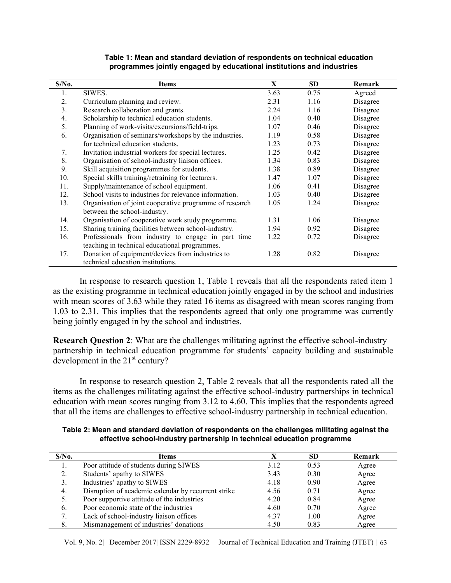| $S/N0$ . | Items                                                   | $\mathbf X$ | <b>SD</b> | Remark   |
|----------|---------------------------------------------------------|-------------|-----------|----------|
| 1.       | SIWES.                                                  | 3.63        | 0.75      | Agreed   |
| 2.       | Curriculum planning and review.                         | 2.31        | 1.16      | Disagree |
| 3.       | Research collaboration and grants.                      | 2.24        | 1.16      | Disagree |
| 4.       | Scholarship to technical education students.            | 1.04        | 0.40      | Disagree |
| 5.       | Planning of work-visits/excursions/field-trips.         | 1.07        | 0.46      | Disagree |
| 6.       | Organisation of seminars/workshops by the industries.   | 1.19        | 0.58      | Disagree |
|          | for technical education students.                       | 1.23        | 0.73      | Disagree |
| 7.       | Invitation industrial workers for special lectures.     | 1.25        | 0.42      | Disagree |
| 8.       | Organisation of school-industry liaison offices.        | 1.34        | 0.83      | Disagree |
| 9.       | Skill acquisition programmes for students.              | 1.38        | 0.89      | Disagree |
| 10.      | Special skills training/retraining for lecturers.       | 1.47        | 1.07      | Disagree |
| 11.      | Supply/maintenance of school equipment.                 | 1.06        | 0.41      | Disagree |
| 12.      | School visits to industries for relevance information.  | 1.03        | 0.40      | Disagree |
| 13.      | Organisation of joint cooperative programme of research | 1.05        | 1.24      | Disagree |
|          | between the school-industry.                            |             |           |          |
| 14.      | Organisation of cooperative work study programme.       | 1.31        | 1.06      | Disagree |
| 15.      | Sharing training facilities between school-industry.    | 1.94        | 0.92      | Disagree |
| 16.      | Professionals from industry to engage in part time      | 1.22        | 0.72      | Disagree |
|          | teaching in technical educational programmes.           |             |           |          |
| 17.      | Donation of equipment/devices from industries to        | 1.28        | 0.82      | Disagree |
|          | technical education institutions.                       |             |           |          |

#### **Table 1: Mean and standard deviation of respondents on technical education programmes jointly engaged by educational institutions and industries**

In response to research question 1, Table 1 reveals that all the respondents rated item 1 as the existing programme in technical education jointly engaged in by the school and industries with mean scores of 3.63 while they rated 16 items as disagreed with mean scores ranging from 1.03 to 2.31. This implies that the respondents agreed that only one programme was currently being jointly engaged in by the school and industries.

**Research Question 2**: What are the challenges militating against the effective school-industry partnership in technical education programme for students' capacity building and sustainable development in the  $21<sup>st</sup>$  century?

In response to research question 2, Table 2 reveals that all the respondents rated all the items as the challenges militating against the effective school-industry partnerships in technical education with mean scores ranging from 3.12 to 4.60. This implies that the respondents agreed that all the items are challenges to effective school-industry partnership in technical education.

**Table 2: Mean and standard deviation of respondents on the challenges militating against the effective school-industry partnership in technical education programme**

| $S/N0$ . | Items                                               | X    | <b>SD</b> | Remark |
|----------|-----------------------------------------------------|------|-----------|--------|
|          | Poor attitude of students during SIWES              | 3.12 | 0.53      | Agree  |
| 2.       | Students' apathy to SIWES                           | 3.43 | 0.30      | Agree  |
| 3.       | Industries' apathy to SIWES                         | 4.18 | 0.90      | Agree  |
| 4.       | Disruption of academic calendar by recurrent strike | 4.56 | 0.71      | Agree  |
| 5.       | Poor supportive attitude of the industries          | 4.20 | 0.84      | Agree  |
| 6.       | Poor economic state of the industries               | 4.60 | 0.70      | Agree  |
|          | Lack of school-industry liaison offices             | 4.37 | 1.00      | Agree  |
| 8.       | Mismanagement of industries' donations              | 4.50 | 0.83      | Agree  |

Vol. 9, No. 2| December 2017| ISSN 2229-8932 Journal of Technical Education and Training (JTET) | 63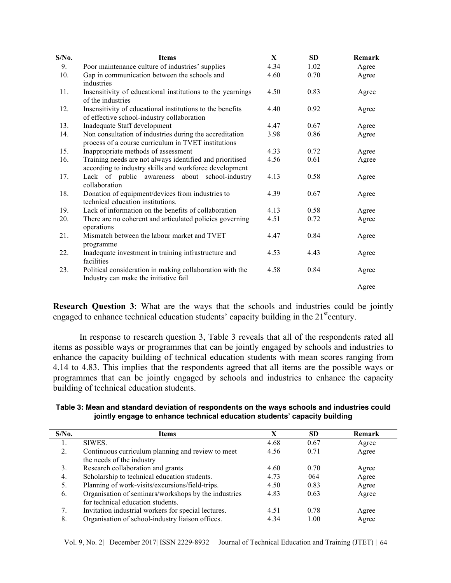| $S/N0$ . | <b>Items</b>                                                                                                       | $\mathbf{X}$ | <b>SD</b> | Remark |
|----------|--------------------------------------------------------------------------------------------------------------------|--------------|-----------|--------|
| 9.       | Poor maintenance culture of industries' supplies                                                                   | 4.34         | 1.02      | Agree  |
| 10.      | Gap in communication between the schools and<br>industries                                                         | 4.60         | 0.70      | Agree  |
| 11.      | Insensitivity of educational institutions to the yearnings<br>of the industries                                    | 4.50         | 0.83      | Agree  |
| 12.      | Insensitivity of educational institutions to the benefits<br>of effective school-industry collaboration            | 4.40         | 0.92      | Agree  |
| 13.      | Inadequate Staff development                                                                                       | 4.47         | 0.67      | Agree  |
| 14.      | Non consultation of industries during the accreditation<br>process of a course curriculum in TVET institutions     | 3.98         | 0.86      | Agree  |
| 15.      | Inappropriate methods of assessment                                                                                | 4.33         | 0.72      | Agree  |
| 16.      | Training needs are not always identified and prioritised<br>according to industry skills and workforce development | 4.56         | 0.61      | Agree  |
| 17.      | Lack of public awareness about school-industry<br>collaboration                                                    | 4.13         | 0.58      | Agree  |
| 18.      | Donation of equipment/devices from industries to<br>technical education institutions.                              | 4.39         | 0.67      | Agree  |
| 19.      | Lack of information on the benefits of collaboration                                                               | 4.13         | 0.58      | Agree  |
| 20.      | There are no coherent and articulated policies governing<br>operations                                             | 4.51         | 0.72      | Agree  |
| 21.      | Mismatch between the labour market and TVET<br>programme                                                           | 4.47         | 0.84      | Agree  |
| 22.      | Inadequate investment in training infrastructure and<br>facilities                                                 | 4.53         | 4.43      | Agree  |
| 23.      | Political consideration in making collaboration with the<br>Industry can make the initiative fail                  | 4.58         | 0.84      | Agree  |
|          |                                                                                                                    |              |           | Agree  |

**Research Question 3**: What are the ways that the schools and industries could be jointly engaged to enhance technical education students' capacity building in the  $21<sup>st</sup>$ century.

In response to research question 3, Table 3 reveals that all of the respondents rated all items as possible ways or programmes that can be jointly engaged by schools and industries to enhance the capacity building of technical education students with mean scores ranging from 4.14 to 4.83. This implies that the respondents agreed that all items are the possible ways or programmes that can be jointly engaged by schools and industries to enhance the capacity building of technical education students.

**Table 3: Mean and standard deviation of respondents on the ways schools and industries could jointly engage to enhance technical education students' capacity building**

| $S/N0$ . | Items                                                | X    | <b>SD</b> | <b>Remark</b> |
|----------|------------------------------------------------------|------|-----------|---------------|
|          | SIWES.                                               | 4.68 | 0.67      | Agree         |
| 2.       | Continuous curriculum planning and review to meet    | 4.56 | 0.71      | Agree         |
|          | the needs of the industry                            |      |           |               |
| 3.       | Research collaboration and grants                    | 4.60 | 0.70      | Agree         |
| 4.       | Scholarship to technical education students.         | 4.73 | 064       | Agree         |
| 5.       | Planning of work-visits/excursions/field-trips.      | 4.50 | 0.83      | Agree         |
| 6.       | Organisation of seminars/workshops by the industries | 4.83 | 0.63      | Agree         |
|          | for technical education students.                    |      |           |               |
| 7.       | Invitation industrial workers for special lectures.  | 4.51 | 0.78      | Agree         |
| 8.       | Organisation of school-industry liaison offices.     | 4.34 | 1.00      | Agree         |

Vol. 9, No. 2| December 2017| ISSN 2229-8932 Journal of Technical Education and Training (JTET) | 64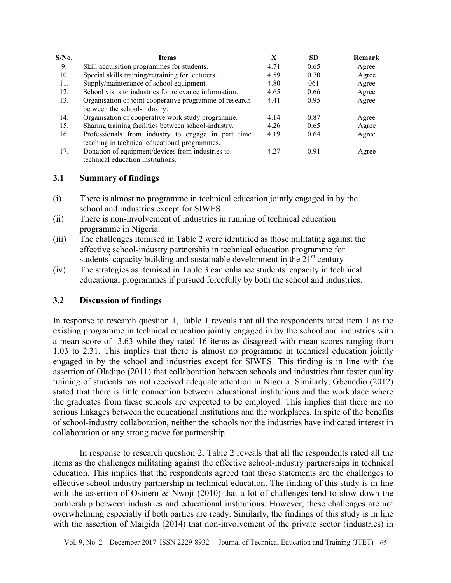| $S/N0$ . | Items                                                   | X    | <b>SD</b> | Remark |
|----------|---------------------------------------------------------|------|-----------|--------|
| 9.       | Skill acquisition programmes for students.              | 4.71 | 0.65      | Agree  |
| 10.      | Special skills training/retraining for lecturers.       | 4.59 | 0.70      | Agree  |
| 11.      | Supply/maintenance of school equipment.                 | 4.80 | 061       | Agree  |
| 12.      | School visits to industries for relevance information.  | 4.65 | 0.66      | Agree  |
| 13.      | Organisation of joint cooperative programme of research | 4.41 | 0.95      | Agree  |
|          | between the school-industry.                            |      |           |        |
| 14.      | Organisation of cooperative work study programme.       | 4.14 | 0.87      | Agree  |
| 15.      | Sharing training facilities between school-industry.    | 4.26 | 0.65      | Agree  |
| 16.      | Professionals from industry to engage in part time      | 4.19 | 0.64      | Agree  |
|          | teaching in technical educational programmes.           |      |           |        |
| 17.      | Donation of equipment/devices from industries to        | 4.27 | 0.91      | Agree  |
|          | technical education institutions.                       |      |           |        |

### **3.1 Summary of findings**

- (i) There is almost no programme in technical education jointly engaged in by the school and industries except for SIWES.
- (ii) There is non-involvement of industries in running of technical education programme in Nigeria.
- (iii) The challenges itemised in Table 2 were identified as those militating against the effective school-industry partnership in technical education programme for students' capacity building and sustainable development in the  $21<sup>st</sup>$  century
- (iv) The strategies as itemised in Table 3 can enhance students' capacity in technical educational programmes if pursued forcefully by both the school and industries.

### **3.2 Discussion of findings**

In response to research question 1, Table 1 reveals that all the respondents rated item 1 as the existing programme in technical education jointly engaged in by the school and industries with a mean score of 3.63 while they rated 16 items as disagreed with mean scores ranging from 1.03 to 2.31. This implies that there is almost no programme in technical education jointly engaged in by the school and industries except for SIWES. This finding is in line with the assertion of Oladipo (2011) that collaboration between schools and industries that foster quality training of students has not received adequate attention in Nigeria. Similarly, Gbenedio (2012) stated that there is little connection between educational institutions and the workplace where the graduates from these schools are expected to be employed. This implies that there are no serious linkages between the educational institutions and the workplaces. In spite of the benefits of school-industry collaboration, neither the schools nor the industries have indicated interest in collaboration or any strong move for partnership.

In response to research question 2, Table 2 reveals that all the respondents rated all the items as the challenges militating against the effective school-industry partnerships in technical education. This implies that the respondents agreed that these statements are the challenges to effective school-industry partnership in technical education. The finding of this study is in line with the assertion of Osinem & Nwoji (2010) that a lot of challenges tend to slow down the partnership between industries and educational institutions. However, these challenges are not overwhelming especially if both parties are ready. Similarly, the findings of this study is in line with the assertion of Maigida (2014) that non-involvement of the private sector (industries) in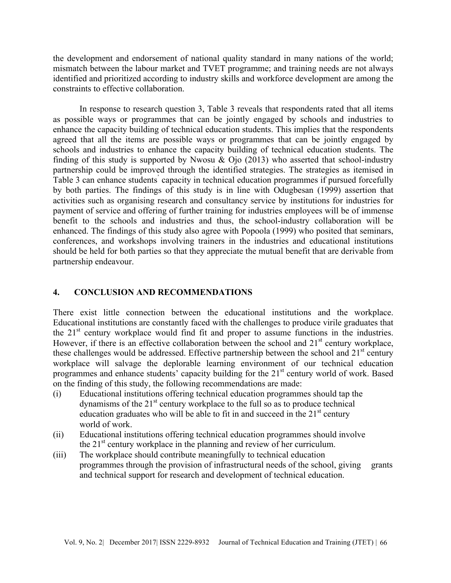the development and endorsement of national quality standard in many nations of the world; mismatch between the labour market and TVET programme; and training needs are not always identified and prioritized according to industry skills and workforce development are among the constraints to effective collaboration.

In response to research question 3, Table 3 reveals that respondents rated that all items as possible ways or programmes that can be jointly engaged by schools and industries to enhance the capacity building of technical education students. This implies that the respondents agreed that all the items are possible ways or programmes that can be jointly engaged by schools and industries to enhance the capacity building of technical education students. The finding of this study is supported by Nwosu  $\&$  Ojo (2013) who asserted that school-industry partnership could be improved through the identified strategies. The strategies as itemised in Table 3 can enhance students' capacity in technical education programmes if pursued forcefully by both parties. The findings of this study is in line with Odugbesan (1999) assertion that activities such as organising research and consultancy service by institutions for industries for payment of service and offering of further training for industries employees will be of immense benefit to the schools and industries and thus, the school-industry collaboration will be enhanced. The findings of this study also agree with Popoola (1999) who posited that seminars, conferences, and workshops involving trainers in the industries and educational institutions should be held for both parties so that they appreciate the mutual benefit that are derivable from partnership endeavour.

#### **4. CONCLUSION AND RECOMMENDATIONS**

There exist little connection between the educational institutions and the workplace. Educational institutions are constantly faced with the challenges to produce virile graduates that the 21<sup>st</sup> century workplace would find fit and proper to assume functions in the industries. However, if there is an effective collaboration between the school and  $21<sup>st</sup>$  century workplace, these challenges would be addressed. Effective partnership between the school and  $21<sup>st</sup>$  century workplace will salvage the deplorable learning environment of our technical education programmes and enhance students' capacity building for the 21<sup>st</sup> century world of work. Based on the finding of this study, the following recommendations are made:

- (i) Educational institutions offering technical education programmes should tap the dynamisms of the  $21<sup>st</sup>$  century workplace to the full so as to produce technical education graduates who will be able to fit in and succeed in the  $21<sup>st</sup>$  century world of work.
- (ii) Educational institutions offering technical education programmes should involve the  $21<sup>st</sup>$  century workplace in the planning and review of her curriculum.
- (iii) The workplace should contribute meaningfully to technical education programmes through the provision of infrastructural needs of the school, giving grants and technical support for research and development of technical education.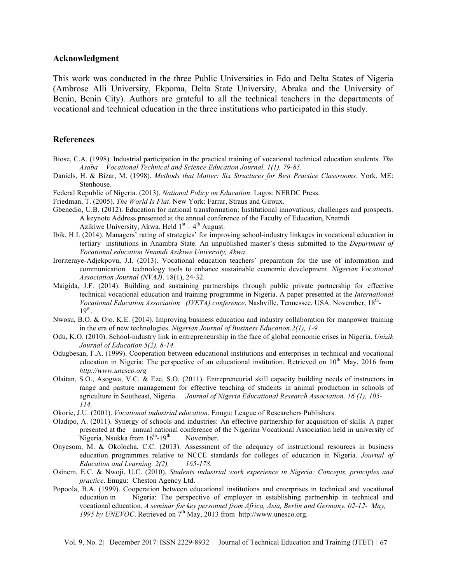#### **Acknowledgment**

This work was conducted in the three Public Universities in Edo and Delta States of Nigeria (Ambrose Alli University, Ekpoma, Delta State University, Abraka and the University of Benin, Benin City). Authors are grateful to all the technical teachers in the departments of vocational and technical education in the three institutions who participated in this study.

#### **References**

- Biose, C.A. (1998). Industrial participation in the practical training of vocational technical education students. *The Asaba Vocational Technical and Science Education Journal, 1(1), 79-85.*
- Daniels, H. & Bizar, M. (1998). *Methods that Matter: Six Structures for Best Practice Classrooms*. York, ME: Stenhouse.
- Federal Republic of Nigeria. (2013). *National Policy on Education*. Lagos: NERDC Press.
- Friedman, T. (2005). *The World Is Flat*. New York: Farrar, Straus and Giroux.
- Gbenedio, U.B. (2012). Education for national transformation: Institutional innovations, challenges and prospects. A keynote Address presented at the annual conference of the Faculty of Education, Nnamdi Azikiwe University, Akwa. Held  $1<sup>st</sup> - 4<sup>th</sup>$  August.
- Ibik, H.I. (2014). Managers' rating of strategies' for improving school-industry linkages in vocational education in tertiary institutions in Anambra State. An unpublished master's thesis submitted to the *Department of Vocational education Nnamdi Azikiwe University, Akwa*.
- Iroriteraye-Adjekpovu, J.I. (2013). Vocational education teachers' preparation for the use of information and communication technology tools to enhance sustainable economic development. *Nigerian Vocational Association Journal (NVAJ)*. 18(1), 24-32.
- Maigida, J.F. (2014). Building and sustaining partnerships through public private partnership for effective technical vocational education and training programme in Nigeria. A paper presented at the *International Vocational Education Association (IVETA) conference*. Nashville, Tennessee, USA. November, 18th- $19<sup>th</sup>$ .
- Nwosu, B.O. & Ojo. K.E. (2014). Improving business education and industry collaboration for manpower training in the era of new technologies. *Nigerian Journal of Business Education.2(1), 1-9.*
- Odu, K.O. (2010). School-industry link in entrepreneurship in the face of global economic crises in Nigeria. *Unizik Journal of Education 5(2), 8-14.*
- Odugbesan, F.A. (1999). Cooperation between educational institutions and enterprises in technical and vocational education in Nigeria: The perspective of an educational institution. Retrieved on  $10^{th}$  May, 2016 from *http://www.unesco.org*
- Olaitan, S.O., Asogwa, V.C. & Eze, S.O. (2011). Entrepreneurial skill capacity building needs of instructors in range and pasture management for effective teaching of students in animal production in schools of agriculture in Southeast, Nigeria. *Journal of Nigeria Educational Research Association. 16 (1), 105- 114.*
- Okorie, J.U. (2001). *Vocational industrial education*. Enugu: League of Researchers Publishers.
- Oladipo, A. (2011). Synergy of schools and industries: An effective partnership for acquisition of skills. A paper presented at the annual national conference of the Nigerian Vocational Association held in university of Nigeria, Nsukka from  $16^{th}$ -19<sup>th</sup> November.
- Onyesom, M. & Okolocha, C.C. (2013). Assessment of the adequacy of instructional resources in business education programmes relative to NCCE standards for colleges of education in Nigeria. *Journal of Education and Learning. 2(2), 165-178.*
- Osinem, E.C. & Nwoji, U.C. (2010). *Students industrial work experience in Nigeria: Concepts, principles and practice*. Enugu: Cheston Agency Ltd.
- Popoola, B.A. (1999). Cooperation between educational institutions and enterprises in technical and vocational education in Nigeria: The perspective of employer in establishing partnership in technical and vocational education. *A seminar for key personnel from Africa, Asia, Berlin and Germany. 02-12- May,*  1995 by UNEVOC. Retrieved on 7<sup>th</sup> May, 2013 from http://www.unesco.org.